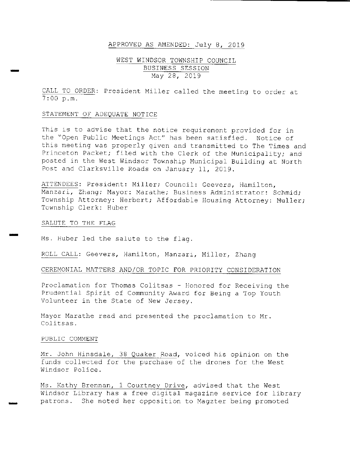## APPROVED AS AMENDED: July 8, 2019

## WEST WINDSOR TOWNSHIP COUNCIL BUSINESS SESSION May 28, 2019

CALL TO ORDER: President Miller called the meeting to order at 7 : 00 p. m.

## STATEMENT OF ADEQUATE NOTICE

This is to advise that the notice requirement provided for in the "Open Public Meetings Act" has been satisfied. Notice of this meeting was properly given and transmitted to The Times and Princeton Packet; filed with the Clerk of the Municipality; and posted in the West Windsor Township Municipal Building at North Post and Clarksville Roads on January 11, 2019 .

ATTENDEES: President: Miller; Council: Geevers, Hamilton, Manzari, Zhang; Mayor: Marathe; Business Administrator: Schmid; Township Attorney: Herbert; Affordable Housing Attorney: Muller; Township Clerk: Huber

### SALUTE TO THE FLAG

mm

Ms. Huber led the salute to the flag.

ROLL CALL: Geevers, Hamilton, Manzari, Miller, Zhang

#### CEREMONIAL MATTERS AND/OR TOPIC FOR PRIORITY CONSIDERATION

Proclamation for Thomas Colitsas - Honored for Receiving the Prudential Spirit of Community Award for Being <sup>a</sup> Top Youth Volunteer in the State of New Jersey.

Mayor Marathe read and presented the proclamation to Mr. Colitsas .

#### PUBLIC COMMENT

Mr. John Hinsdale, 38 Quaker Road, voiced his opinion on the funds collected for the purchase of the drones for the West Windsor Police.

Ms. Kathy Brennan, 1 Courtney Drive, advised that the West Windsor Library has <sup>a</sup> free digital magazine service for library patrons . She noted her opposition to Magzter being promoted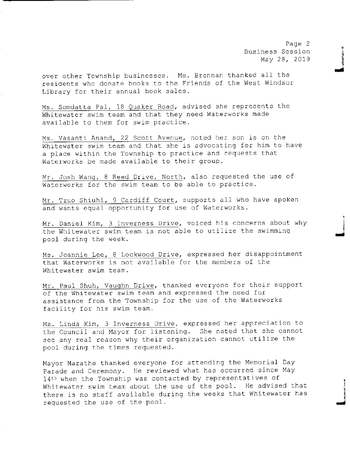Page 2 Business Session May 28, 2019

over other Township businesses. Ms. Brennan thanked all the residents who donate books to the Friends of the West Windsor Library for their annual book sales .

Ms . Somdatta Pal, 18 Quaker Road, advised she represents the Whitewater swim team and that they need Waterworks made available to them for swim practice.

Ms. Vasanti Anand, 22 Scott Avenue, noted her son is on the Whitewater swim team and that she is advocating for him to have <sup>a</sup> place within the Township to practice and requests that Waterworks be made available to their group.

Mr. Josh Wang, 8 Reed Drive, North, also requested the use of Waterworks for the swim team to be able to practice .

Mr. Tzuo Shiuhi, 9 Cardiff Court, supports all who have spoken and wants equal opportunity for use of Waterworks .

Mr. Daniel Kim, 3 Inverness Drive, voiced his concerns about why the Whitewater swim team is not able to utilize the swimming pool during the week.

Ms. Jeannie Lee, B Lockwood Drive, expressed her disappointment that Waterworks is not available for the members of the Whitewater swim team.

Mr. Paul Shuh, Vaughn Drive, thanked everyone for their support of the Whitewater swim team and expressed the need for assistance from the Township for the use of the Waterworks facility for his swim team.

Ms . Linda Kim, 3 Inverness Drive, expressed her appreciation to the Council and Mayor for listening. She noted that she cannot see any real reason why their organization cannot utilize the pool during the times requested.

Mayor Marathe thanked everyone for attending the Memorial Day Parade and Ceremony. He reviewed what has occurred since May 14<sup>th</sup> when the Township was contacted by representatives of Whitewater swim team about the use of the pool. He advised that there is no staff available during the weeks that Whitewater has requested the use of the pool.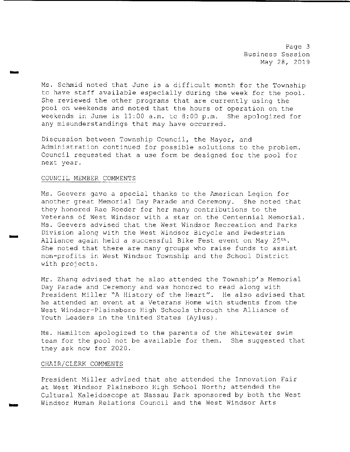Page 3 Business Session May 28, 2019

Ms. Schmid noted that June is <sup>a</sup> difficult month for the Township to have staff available especially during the week for the pool . She reviewed the other programs that are currently using the pool on weekends and noted that the hours of operation on the weekends in June is 11:00 a.m. to 8:00 p.m. She apologized for any misunderstandings that may have occurred.

Discussion between Township Council, the Mayor, and Administration continued for possible solutions to the problem. Council requested that <sup>a</sup> use form be designed for the pool for next year.

#### COUNCIL MEMBER COMMENTS

r<br>Vitens

r<br>Birni

Ms. Geevers gave a special thanks to the American Legion for<br>another great Memorial Day Parade and Ceremony. She noted that another great Memorial Day Parade and Ceremony. they honored Rae Roeder for her many contributions to the Veterans of West Windsor with <sup>a</sup> star on the Centennial Memorial . Ms . Geevers advised that the West Windsor Recreation and Parks Division along with the West Windsor Bicycle and Pedestrian Alliance again held <sup>a</sup> successful Bike Fest event on May 25th. She noted that there are many groups who raise funds to assist non- profits in West Windsor Township and the School District with projects .

Mr. Zhang advised that he also attended the Township's Memorial Day Parade and Ceremony and was honored to read along with President Miller "A History of the Heart". He also advised that he attended an event at <sup>a</sup> Veterans Home with students from the West Windsor-Plainsboro High Schools through the Alliance of Youth Leaders in the United States (Aylus) .

Ms. Hamilton apologized to the parents of the Whitewater swim team for the pool not be available for them. She suggested that they ask now for 2020 .

#### CHAIR/ CLERK COMMENTS

President Miller advised that she attended the Innovation Fair at West Windsor Plainsboro High School North; attended the Cultural Kaleidoscope at Nassau Park sponsored by both the West Windsor Human Relations Council and the West Windsor Arts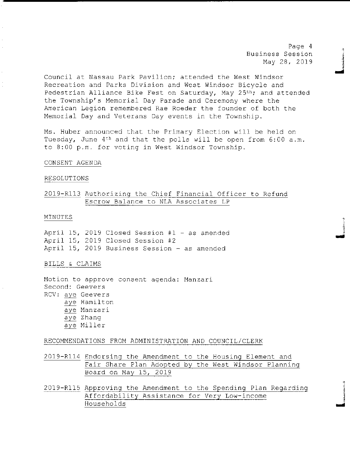Page <sup>4</sup> Business Session May 28, 2019

mi

Council at Nassau Park Pavilion; attended the West Windsor Recreation and Parks Division and West Windsor Bicycle and Pedestrian Alliance Bike Fest on Saturday, May 25<sup>th</sup>; and attended the Township' s Memorial Day Parade and Ceremony where the American Legion remembered Rae Roeder the founder of both the Memorial Day and Veterans Day events in the Township.

Ms. Huber announced that the Primary Election will be held on Tuesday, June  $4<sup>th</sup>$  and that the polls will be open from 6:00 a.m. to 8:00 p.m. for voting in West Windsor Township.

#### CONSENT AGENDA

### RESOLUTIONS

## 2019- R113 Authorizing the Chief Financial Officer to Refund Escrow Balance to NLA Associates LP

## MINUTES FOR A SERVICE SERVICE SERVICE SERVICE SERVICE SERVICE SERVICE SERVICE SERVICE SERVICE SERVICE SERVICE S

April 15, 2019 Closed Session #1 - as amended April 15, 2019 Closed Session #2 April 15, 2019 Business Session - as amended

### BILLS & CLAIMS

Motion to approve consent agenda : Manzari Second: Geevers RCV: aye Geevers aye Hamilton aye Manzari aye Zhang aye Miller

#### RECOMMENDATIONS FROM ADMINISTRATION AND COUNCIL/ CLERK

2019- R114 Endorsing the Amendment to the Housing Element and Fair Share Plan Adopted by the West Windsor Planning Board on May 15, 2019

2019- R115 Approving the Amendment to the Spending Plan Regarding Affordability Assistance for Very Low- income Households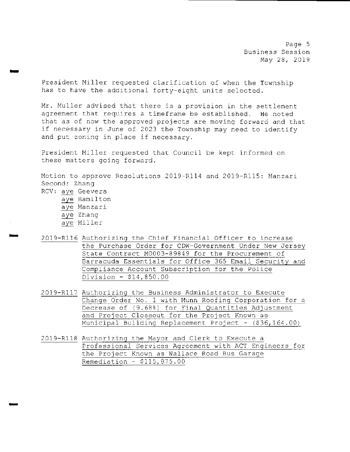Page 5 Business Session May 28, 2019

President Miller requested clarification of when the Township has to have the additional forty-eight units selected.

Mr. Muller advised that there is <sup>a</sup> provision in the settlement agreement that requires <sup>a</sup> timeframe be established. He noted that as of now the approved projects are moving forward and that if necessary in June of <sup>2023</sup> the Township may need to identify and put zoning in place if necessary.

President Miller requested that Council be kept informed on these matters going forward.

Motion to approve Resolutions 2019-R114 and 2019-R115: Manzari Second: Zhang RCV: aye Geevers aye Hamilton

aye Manzari

r

- aye Zhang
- aye Miller
- 2019- R116 Authorizing the Chief Financial Officer to increase the Purchase Order for CDW-Government Under New Jersey State Contract M0003- 89849 for the Procurement of Barracuda Essentials for Office <sup>365</sup> Email Security and Compliance Account Subscription for the Police Division - \$14,850.00
- 2019-R117 Authorizing the Business Administrator to Execute Change Order No. 1 with Munn Roofing Corporation for <sup>a</sup> Decrease of (9.68%) for Final Quantities Adjustment and Project Closeout for the Project Known as Municipal Building Replacement Project - (\$36,164.00)
- 2019- R118 Authorizing the Mayor and Clerk to Execute <sup>a</sup> Professional Services Agreement with ACT Engineers for the Project Known as Wallace Road Bus Garage Remediation - \$ 115, 875 . 00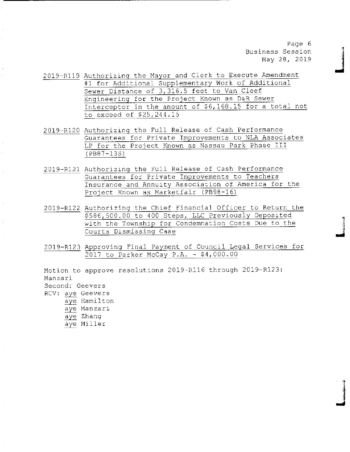Page 6 Business Session May 28, 2019

mil

I

- 2019- R119 Authorizing the Mayor and Clerk to Execute Amendment <sup>1</sup> for Additional Supplementary Work of Additional Sewer Distance of 3, 316. 5 feet to Van Cleef Engineering for the Project Known as D&R Sewer Interceptor in the amount of \$6,168.15 for a total not to exceed of \$25, 244 . 15
- 2019- R120 Authorizing the Full Release of Cash Performance Guarantees for Private Improvements to NLA Associates LP for the Project Known as Nassau Park Phase III PB87- 135)
- 2019- R121 Authorizing the Full Release of Cash Performance Guarantees for Private Improvements to Teachers Insurance and Annuity Association of America for the Project Known as Marketfair (PB98-16)
- 2019-R122 Authorizing the Chief Financial Officer to Return the 586, 500 . 00 to 400 Steps, LLC Previously Deposited with the Township for Condemnation Costs Due to the Courts Dismissing Case
- 2019-R123 Approving Final Payment of Council Legal Services for 2017 to Parker McCay P.A. - \$4,000.00

Motion to approve resolutions 2019-R116 through 2019-R123: Manzari Second: Geevers RCV: aye Geevers aye Hamilton aye Manzari aye Zhang aye Miller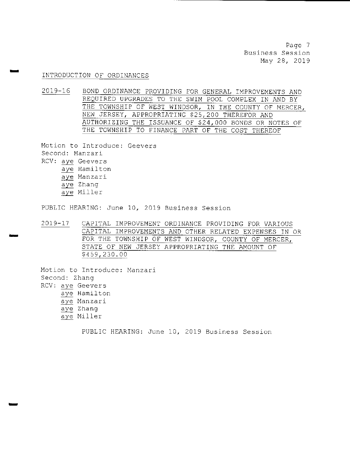Page <sup>7</sup> Business Session May 28, 2019

## INTRODUCTION OF ORDINANCES

2019-16 BOND ORDINANCE PROVIDING FOR GENERAL IMPROVEMENTS AND REQUIRED UPGRADES TO THE SWIM POOL COMPLEX IN AND BY THE TOWNSHIP OF WEST WINDSOR, IN THE COUNTY OF MERCER, NEW JERSEY, APPROPRIATING \$25,200 THEREFOR AND AUTHORIZING THE ISSUANCE OF \$24,000 BONDS OR NOTES OF THE TOWNSHIP TO FINANCE PART OF THE COST THEREOF

Motion to Introduce: Geevers Second: Manzari RCV: aye Geevers aye Hamilton aye Manzari aye Zhang aye Miller

PUBLIC HEARING: June 10, 2019 Business Session

2019- 17 CAPITAL IMPROVEMENT ORDINANCE PROVIDING FOR VARIOUS CAPITAL IMPROVEMENTS AND OTHER RELATED EXPENSES IN OR FOR THE TOWNSHIP OF WEST WINDSOR, COUNTY OF MERCER, STATE OF NEW JERSEY APPROPRIATING THE AMOUNT OF 459, 230 . 00

Motion to Introduce: Manzari Second: Zhang RCV: aye Geevers aye Hamilton aye Manzari aye Zhang aye Miller

PUBLIC HEARING: June 10, 2019 Business Session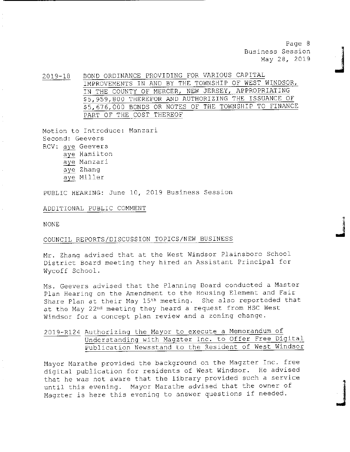Page 8 Business Session May 28, 2019

ri

2019-18 BOND ORDINANCE PROVIDING FOR VARIOUS CAPITAL IMPROVEMENTS IN AND BY THE TOWNSHIP OF WEST WINDSOR, IN THE COUNTY OF MERCER, NEW JERSEY, APPROPRIATING 5, 959, 800 THEREFOR AND AUTHORIZING THE ISSUANCE OF 5, 676, 000 BONDS OR NOTES OF THE TOWNSHIP TO FINANCE PART OF THE COST THEREOF

Motion to Introduce: Manzari Second: Geevers RCV: aye Geevers aye Hamilton aye Manzari aye Zhang aye Miller

PUBLIC HEARING: June 10, 2019 Business Session

ADDITIONAL PUBLIC COMMENT

NONE

## COUNCIL REPORTS/ DISCUSSION TOPICS/ NEW BUSINESS

Mr. Zhang advised that at the West Windsor Plainsboro School District Board meeting they hired an Assistant Principal for Wycoff School .

Ms. Geevers advised that the Planning Board conducted <sup>a</sup> Master Plan Hearing on the Amendment to the Housing Element and Fair Share Plan at their May 15<sup>th</sup> meeting. She also reporteded that at the May 22<sup>nd</sup> meeting they heard a request from HSC West Windsor for <sup>a</sup> concept plan review and <sup>a</sup> zoning change .

## 2019- R124 Authorizing the Mayor to execute <sup>a</sup> Memorandum of Understanding with Magzter Inc. to Offer Free Digital Publication Newsstand to the Resident of West Windsor

Mayor Marathe provided the background on the Magzter Inc. free digital publication for residents of West Windsor. He advised that he was not aware that the library provided such <sup>a</sup> service until this evening. Mayor Marathe advised that the owner of Magzter is here this evening to answer questions if needed.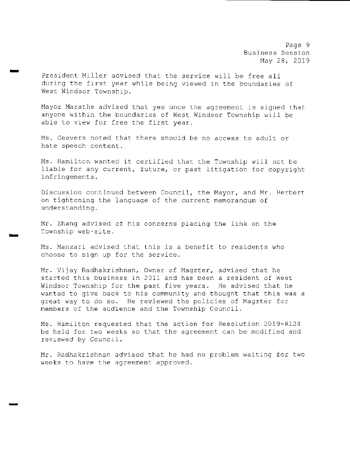Page 9 Business Session May 28, 2019

President Miller advised that the service will be free all during the first year while being viewed in the boundaries of West Windsor Township.

 $\overline{\phantom{a}}$ 

Mayor Marathe advised that yes once the agreement is signed that anyone within the boundaries of West Windsor Township will be able to view for free the first year.

Ms . Geevers noted that there should be no access to adult or hate speech content.

Ms . Hamilton wanted it certified that the Township will not be liable for any current, future, or past litigation for copyright infringements .

Discussion continued between Council, the Mayor, and Mr. Herbert on tightening the language of the current memorandum of understanding.

Mr. Zhang advised of his concerns placing the link on the Township web-site.

Ms. Manzari advised that this is <sup>a</sup> benefit to residents who choose to sign up for the service .

Mr. Vijay Radhakrishnan, Owner of Magzter, advised that he started this business in <sup>2011</sup> and has been <sup>a</sup> resident of West Windsor Township for the past five years. He advised that he wanted to give back to his community and thought that this was <sup>a</sup> great way to do so. He reviewed the policies of Magzter for members of the audience and the Township Council .

Ms. Hamilton requested that the action for Resolution 2019-R124 be held for two weeks so that the agreement can be modified and reviewed by Council .

Mr. Radhakrishnan advised that he had no problem waiting for two weeks to have the agreement approved.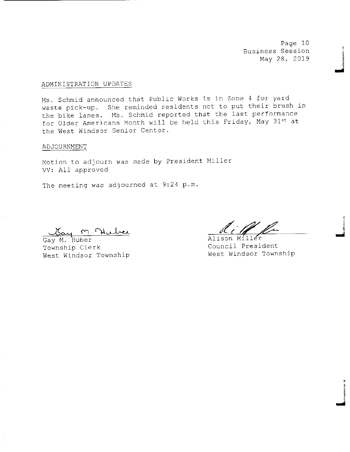Page 10 Business Session May 28, 2019

## ADMINISTRATION UPDATES

Ms. Schmid announced that Public Works is in Zone <sup>4</sup> for yard waste pick-up. She reminded residents not to put their brush in the bike lanes. Ms. Schmid reported that the last performance for Older Americans Month will be held this Friday, May 31st at the West Windsor Senior Center.

### ADJOURNMENT

Motion to adjourn was made by President Miller VV: All approved

The meeting was adjourned at 9:24 p.m.

Gay M. Huber<br>Gay M. Huber<br>Township Clerk Council Presi West Windsor Township

ان<br>أمس

Council President<br>West Windsor Township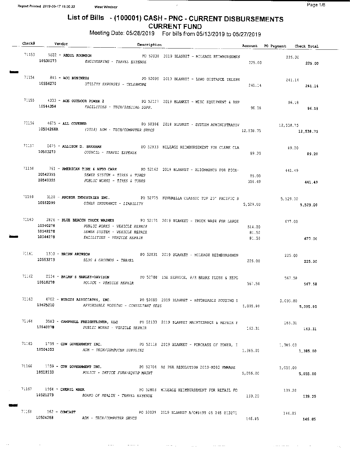$\cdot$ 

## List of Bills • ( 100001) CASH - PNC - CURRENT DISBURSEMENTS CURRENT FUND

Meeting Date: 05/28/2019 For bills from 05/13/2019 to 05/27/2019

|  | Check# Vendor |                                |                                                                                                                 | Description |                                                                                           |                          | Account PO Payment Check Total  |          |
|--|---------------|--------------------------------|-----------------------------------------------------------------------------------------------------------------|-------------|-------------------------------------------------------------------------------------------|--------------------------|---------------------------------|----------|
|  |               | 71153 5822 - ABDUL ROOMSON     | 10530273 ENGINEERING - TRAVEL EXPENSE                                                                           |             | PO 52030 2019 BLANKET - MILEAGE REIMBURSEMEN                                              |                          | 225.00<br>225.00 225.00         |          |
|  |               | $71154$ $345 - ACC$ BUSINESS   | 10556270 UTILITY EXPENSES - TELEPHONE                                                                           |             | PO 52099 2019 BLANKET - LONG DISTANCE TELEPH                                              | 241.14                   | 241.14                          | 241.14   |
|  | 10544354      |                                | FACILITIES - TECH/SPECIAL SUPP.                                                                                 |             | 71155 4033 - ACE OUTDOOR POWER 2 1 1 2019 BLANKET - MISC EQUIPMENT & REP                  | 96.18                    | 96.18<br>96.18                  |          |
|  |               |                                | $71156$ 4675 - ALL COVERED<br>10504268A (2018) ADM - TECH/COMPUTER SRVCS                                        |             | PO 50306 2018 BLANKET - SYSTEM ADMINISTRATIV 12,538.75                                    | 12,538.75                | 12,538.75                       |          |
|  |               |                                | 10503273 COUNCIL - TRAVEL EXPENSE                                                                               |             | 71157 5675 - ALLISON D. SHEEHAN PO 52833 MILZAGE REIMBURSEMENT FOR CLERK CLA              | 89.20                    | 89.20                           | 89.20    |
|  |               |                                | 10542355 SEWER SYSTEM - TIRES & TUBES<br>10540355 PUBLIC WORKS - TIRES & TUBES                                  |             | 71158 761 - AMERICAN TIRE & AUTO CARE PO 52162 2019 BLANKET - ALIGNMENTS FOR PICK- 441.49 | 85.00<br>356.49          |                                 | 441.49   |
|  | 10552299      |                                | CTHER INSURANCE - LIABILITY                                                                                     |             | 71159 3128 - ANCHOR IMDUSTRIES INC. PO 52775 FUNBRELLA CLASSIC TOP 20' PACIFIC B          | 5,529.00                 | 5,529.00<br>5,529.00            |          |
|  | 10544278      |                                | 10540278 PUBLIC WORKS - VEHICLE REPAIR<br>10542278 SEWER SYSTEM - VEHICLE REPAIR<br>FACILITIES - VEHICLE REPAIR |             | 71160 2826 - BLUE BEACON TRUCK WASHES PO 52171 2019 BLANKET - TRUCK WASH FOR LARGE        | 514.00<br>81.50<br>81.50 | 677.00<br>677.00                |          |
|  |               | $71161$ $1310$ - BRIAN ARONSON | $10553273$ BLDG & GROUNDS - TRAVEL                                                                              |             | PO 52031 2019 BLANKET - MILEAGE REIMBURSEMEN                                              | 225.00                   | 225.00                          | 225.00   |
|  |               |                                | 10518278 POLICE - VEHICLE REPAIR                                                                                |             | 71162 2534 - BRIAN'S HARLEY-DAVISON 20 52788 15K SERVICE, F/R BRAKE FLUSH & REPL          | 567.58                   | 567,58<br>567.58                |          |
|  |               |                                | 10625210 AFFORDABLE HOUSING - CONSULTANT FEES                                                                   |             | 71163 4702 - BURGIS ASSOCIATES, INC. 2019 2019 BLANKET - AFFORDABLE HOUSING S             |                          | 5,095.80<br>$5,095.30$ 5,095.80 |          |
|  | 10540278      |                                | PUBLIC WORKS - VEHICLE REPAIR                                                                                   |             | 71164 3583 - CAMPBELL FREIGHTLINER, LLC PO 52133 2019 BLANKET MAINTENANCE & REPAIR F      | 163.31                   | 163.31<br>163.31                |          |
|  | 10504353      |                                | ADM - TECH/COMPUTER SUPPLIES                                                                                    |             | 71165 1759 - CDW GOVERNMENT INC. 2019 BLANKET - PURCHASS OF FONER, I                      | 1,385.00                 | 1,385.00                        | 1,385.00 |
|  |               |                                | 10518233 POLICE - OFFICE FURN/EQUIP MAINT                                                                       |             | 71166 1759 - CDW GOVERNMENT INC. PO 52704 AS PER RESOLUTION 2019-R093 VMWARE              | 5,055.00                 | 5,055.00<br>5,055,00            |          |
|  |               |                                | 10521273 BOARD OF HEALTH - TRAVEL EXPENSE                                                                       |             | 71167 1964 - CHERYL WNER THE STATE OF SAME PO 52803 NILEAGE REIMBURSEMENT FOR RETAIL FO   | 139.20                   | 139.20<br>139.20                |          |
|  |               | $71168$ $162 - \text{COMCAST}$ | 10504268 ADM - TECH/COMPUTER SRVCS                                                                              |             | PO 52039 2019 BLANKET A/C#8499 05 245 013271                                              | 146.85                   | 146.85                          | 146.85   |

المراجع والمتنب المراجع المراجع المتنفس المستفيد والمستفيد

 $\sim 10^4 M_{\odot}$  , which is a second constant of

الموارد المحمد ومحرك

 $\sim 10^{10}$  km s  $^{-1}$ 

 $\phi_{\rm{A}}$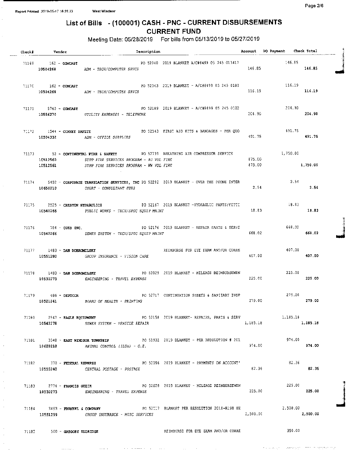## List of Bills - ( 100001) CASH - PNC - CURRENT DISBURSEMENTS CURRENT FUND

Meeting Date: 05/28/2019 For bills from 05/13/2019 to 05/27/2019

| Check# Vendor                     | Description                                                                                                                                 |                  | Account PO Payment Check Total |          |  |
|-----------------------------------|---------------------------------------------------------------------------------------------------------------------------------------------|------------------|--------------------------------|----------|--|
| 71169 162 - COMCAST               | PO 52040 2019 BLANKET A/C#8499 05 245 013417<br>10504268 ADM - TECH/COMPUTER SRVCS                                                          | 146.85           | 146.85<br>146.85               |          |  |
| $71170$ $162 - COMCAST$           | PO 52043 2019 BLANKET - A/C#8499 05 245 0180<br>10504268 ADM - TECH/COMPUTER SRVCS                                                          | 116.19           | 116.19<br>116.19               |          |  |
| $71171$ 5760 - COMCAST            | PO 52189 2019 BLANKET - A/C#8499 05 245 0102<br>10556270 UTILITY EXPENSES - TELEPHONE                                                       | 204.90           | 204.90<br>204.90               |          |  |
|                                   | 10504332 ADM - OFFICE SUPPLIES                                                                                                              | 491.75           | 491.75<br>491.75               |          |  |
|                                   | 71173 52 - CONTINENTAL FIRE & SAFETY PO 52739 BREATHING AIR COMPRESSOR SERVICE 1750.00<br>10512560 SUPP FIRE SERVICES PROGRAM - PJ VOL FIRE | 875.00<br>875.00 |                                | 1,750.00 |  |
| 10650210                          | 71174 5492 - CORPORATE TRANSLATION SERVICES, INC PO 52292 2019 BLANKET - OVER THE PHONE INTER<br>COURT - CONSULTANT FEES                    | 2.54             | 2.54                           | 2.54     |  |
|                                   | 71175 2525 - CRESTON HYDRAULICS 20167 2019 BLANKET -HYDRAULIC PARTS/FITTI<br>10540266 PUBLIC WORKS - TECH/SPEC EQUIP MAINT                  | 18.83            | 18.83                          | 18,83    |  |
|                                   | 71176 784 - CUES INC. THE RESERVE THE RESERVE PO 52176 2019 BLANKET - REPAIR PARTS & SERVE                                                  | 668.02           | 668.02                         | 668.02   |  |
| $71177$ 1463 - DAN DOBROMILSKY    | REIMSURSE FOR EYE EXAM AND/OR CORRE<br>10551280 GROUP INSURANCE - VISION CARE                                                               | 407.00           | 407.00                         | 407.00   |  |
| $71178$ 1483 - DAN DOBROMILSKY    | PC 52029 2019 BLANKET - MILEAGE REIMBURSEMEN<br>10530273 ENGINEERING - TRAVEL EXPENSE                                                       | 225.00           | 225.00                         | 225.00   |  |
|                                   | 71179 486 - DEPTCOR THE RESERVE OF SANTINUATION SHEETS & SANITARY INSP<br>10521241 BOARD OF HEALTH - PRINTING                               |                  | 279.00<br>$279.00$ 279.00      |          |  |
|                                   | 71180 2547 - EAGLE EQUIPMENT CONTROL PO 52158 2019 BLANKET- REPAIRS, PARTS & SERV 1,185.18<br>10542278 SEWER SYSTEM - VEHICLE REPAIR        |                  | 1,185.18 1,185.18              |          |  |
| 10620210                          | ANIMAL CONTROL (ILSA) - O.E.                                                                                                                | 974.00           | 974.00                         | 974.00   |  |
|                                   | 71182 370 - FEDERAL EXPRESS 2019 BLANKET - PAYMENTS ON ACCOUNT'<br>10555240 CENTRAL POSTAGE - POSTAGE                                       | 82.36            | 82.36                          | 82.36    |  |
| $71183$ $2774$ - FRANCIS GUZIK    | PO 52028 2019 BLANKET - MILZAGE REIMBURSEMEN<br>10530273 ENGINEERING - TRAVEL EXPENSE                                                       | 225.00           | 225.00                         | 225.00   |  |
| 10551299                          | 71154 S493 - FRENKEL & COMPANY 80 FOR SALLY BLANKET PER RESOLUTION 2018-R198 HE<br>GROUP INSURANCE - MISC SERVICES                          | 2,500.00         | 2,500.00                       | 2,500.00 |  |
| $71185$ $500 - G$ REGORY ELDRIDGE |                                                                                                                                             |                  |                                |          |  |

والمستعادة

 $\overline{a}$ 

 $\ldots$  . . . . .

 $\sigma$  and a sequence of the state of the state of the state of the state of the state of the  $\sigma$ 

N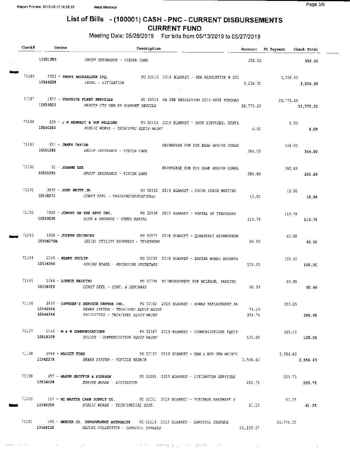$\frac{1}{2} \frac{1}{2} \frac{1}{2} \frac{1}{2} \frac{1}{2} \frac{1}{2} \frac{1}{2} \frac{1}{2} \frac{1}{2} \frac{1}{2} \frac{1}{2} \frac{1}{2} \frac{1}{2} \frac{1}{2} \frac{1}{2} \frac{1}{2} \frac{1}{2} \frac{1}{2} \frac{1}{2} \frac{1}{2} \frac{1}{2} \frac{1}{2} \frac{1}{2} \frac{1}{2} \frac{1}{2} \frac{1}{2} \frac{1}{2} \frac{1}{2} \frac{1}{2} \frac{1}{2} \frac{1}{2} \frac{$ 

# List of Bills - (100001) CASH - PNC - CURRENT DISBURSEMENTS

CURRENT FUND Meeting Date: 05/28/2019 For bills from 05/13/2019 to 05/27/2019

| Check | Vendor                                    | Description                                                                                                                                                         |                 | Account PO Payment Check Total |          |
|-------|-------------------------------------------|---------------------------------------------------------------------------------------------------------------------------------------------------------------------|-----------------|--------------------------------|----------|
|       |                                           | 10551280 GROUP INSURANCE - VISION CARE                                                                                                                              | 350.00          |                                | 350.00   |
|       | 10546228                                  | 71186 2905 - HARRY RAUSHALTER ESQ. PO 52110 2019 BLANKET - PER RESOLUTION # 201<br>LEGAL - LITIGATION                                                               | 3,256.50        | 3,256.50<br>3, 256, 50         |          |
|       |                                           | 71187 1977 - HERTRICH FLEET SERVICES PC 52014 AS PER RESOLUTION 2019-R028 PURCHAS<br>10659503 MERCER CTY CEM K9 SUPPORT VEHICLE                                     | 33,775.20       | 33,775.20<br>33,775,20         |          |
|       | 10540266                                  | 71188 238 - JW KENNEDY & SON WELDING PO 52193 2019 BLANKET - SHOP SUPPLIES, RENTA<br>PUBLIC WORKS - TECH/SPEC EQUIP MAINT                                           | 6.00            | 6.00                           | 6.00     |
|       | 71189 951 - JAMES TAYLOR                  | REIMBURSE FOR EYE EXAM AND/OR CORRE<br>10551280 GROUP INSURANCE - VISION CARE                                                                                       | 364.CO          | 364.00                         | 364.00   |
|       | $71190$ $32 - JOANNE$ LEE                 | REIMBURSE FOR EYE EXAM AND/OR CORRE<br>10551280 GROUP INSURANCE - VISION CARE                                                                                       | 360.69          | 360.69                         | 360.69   |
|       |                                           | 71191 3838 - JORN WHITE JR. (2019 SLANKET - CJCOA LUNCH MESTING<br>10538272 CONST OFFL - TRAINING/EDUCATIONAL                                                       | 15.00           | 15.00                          | 15.00    |
|       | 10553235                                  | 71192 1938 - JOHNNY ON THE SPOT INC. 2016 2019 BLANKET - RENTAL OF TEMPORARY<br><i>BLDG &amp; GROUNDS - OTHER RENTAL</i>                                            | 119.78          | 119.78                         | 119.78   |
|       |                                           | 71193 1266 - JOSEPH GRIBBINS 6 2010 12018 BLANKET - QUARTERLY REIMBURSEM<br>10556270A (2018) UTILITY EXPENSES - TELEPHONE                                           | 60.00           | 60.00 -                        | 60.00    |
|       | $71194$ $2146$ - RERRY PHILIP<br>10536250 | PO 52093 2019 BLANKET - ZONING BOARD SECRETA<br>20NING BOARD - RECORDING SECRETARY                                                                                  | 150.00          | 150.00<br>150.00               |          |
|       |                                           | 71195 1264 - LONNIE BALDINO PO 52794 REIMBURSEMENT FOR MILEAGE, PARKING<br>10538209 CONST OFFL - CONF. & SEMINARS                                                   | 90.99           | 90.99                          | 90.99    |
|       | 10542266<br>10544266                      | 71196 3897 - LOWTHER'S SERVICE CENTER INC. 201282 2019 BLANKET - MOWER REPLACEMENT PA<br>SEWER SYSTEM - TECH/SPEC EOUIP MAINT<br>FACILITIES - TECH/SPEC EQUIP MAINT | 75.29<br>309.76 | 385.05                         | 385.05   |
|       |                                           | 71197 i146 - M & W COMMUNICATIONS PO 52187 2019 BLANKET - COMMUNICATIONS EQUIP                                                                                      | 105.00          | 105.CO<br>105.00               |          |
|       |                                           | $71193$ 3494 - MALOUP FORD $20.52197$ 2019 BLANKET - OEM & NON OEM MAINTE<br>10542278 SEWER SYSTEM - VEHICLE REPAIR                                                 | 2,556.63        | 2,556.63                       | 2,556.63 |
|       |                                           | 71199 657 - MASON GRIFFIN & PIERSON PO 52091 2019 BLANKET - LITIGATION SERVICES<br>10536228 ZONING BOARD - LITIGATION                                               | 205.75          | 205.75<br>205.75               |          |
|       |                                           | 71200 257 - MC MASTER CARR SUPPLY CO. 20 62101 2019 BLANKET - PURCHASE HARDWARE &<br>10540354 PUBLIC WORKS - TECH/SPECIAL SUPP.                                     | 61.25           | 61.25<br>61.25                 |          |
|       |                                           | 71201 460 - MERCER CO. IMPROVEMENT AUTHORITY PC 52116 2019 BLANKET - LANDFILL CHARGES<br>10558222 REFUSE COLLECTION - LANDFILL CHARGES                              | 55,332.57       | 56,776.02                      |          |

, where  $\sigma$  is the property of the second condition of the second condition of  $\sigma$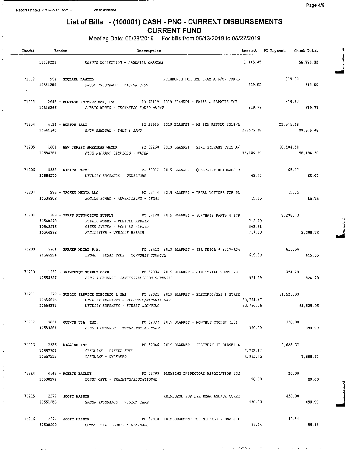# List of Bills - ( 100001) CASH - PNC - CURRENT DISBURSEMENTS CURRENT FUND

| Report Printed 2019-05-17 16:26:33<br>West Windsor                                                                                                                                                                    |                                                                                         | Page 4/6                                        |  |  |  |
|-----------------------------------------------------------------------------------------------------------------------------------------------------------------------------------------------------------------------|-----------------------------------------------------------------------------------------|-------------------------------------------------|--|--|--|
| List of Bills - (100001) CASH - PNC - CURRENT DISBURSEMENTS<br><b>CURRENT FUND</b>                                                                                                                                    |                                                                                         |                                                 |  |  |  |
| Meeting Date: 05/28/2019    For bills from 05/13/2019 to 05/27/2019<br>Check# Vendor<br>Description                                                                                                                   | Account PO Payment Check Total<br>$\Lambda$ -consideration can be defined as a space of |                                                 |  |  |  |
| REFUSE COLLECTION - LANDFILL CHARGES<br>10658222                                                                                                                                                                      | 1,443.45                                                                                | 56,776.02                                       |  |  |  |
| 71202 954 - МІСНАЕІ НАМІЦ,<br>REIMBURSE FOR EYE EXAM AND/OR CORRE<br>10551280 GROUP INSURANCE - VISION CARE                                                                                                           | 319.00                                                                                  | $\sim$ $\sim$ $\sim$ $\sim$<br>319.00<br>319.00 |  |  |  |
| 10540266<br>PUBLIC WORKS - TECH/SPEC EQUIP MAINT                                                                                                                                                                      | 819.77                                                                                  | 819.77<br>819.77                                |  |  |  |
| 71204 4134 - MORTON SALT<br>PO 51925 2019 BLANKET - AS PER RESOLU 2018-R<br>10541340 SNOW REMOVAL - SALT & SAND                                                                                                       | 29,575.48                                                                               | 29, 575.48<br>29,575.48                         |  |  |  |
| 71205 1801 - NEW JERSEY AMERICAN WATER 60 72260 2019 BLANKET - FIRE HYDRANT FEES A/<br>10554281<br>FIRE HYDRANT SERVICES - WATER                                                                                      | 58,184.50                                                                               | 58,184.50<br>58,184.50                          |  |  |  |
| 71206 5388 - NIKITA PATEL<br>PO 52812 2019 BLANKET - QUARTERLY REIMBURSEM<br>10556270 UTILITY EXPENSES - TELEFHONE<br>65.07                                                                                           |                                                                                         | 65.07<br>65.07                                  |  |  |  |
| 71207 286 - PACKET MEDIA LLC<br>PO 52414 2019 BLANKET - LEGAL NOTICES FOR PL<br>10536202 ZONING BOARD - ADVERTISING - LEGAL                                                                                           | 15.75                                                                                   | 15.75<br>15.75                                  |  |  |  |
| 71208 289 - PARIS AUTOMOTIVE SUPPLY 20 32128 2019 BLANKET - PURCHASE PARTS & SUP<br>10540278<br>PUBLIC WORKS - VEHICLE REPAIR<br>10542278<br>SEWER SYSTEM - VEHICLE REPAIR<br>10544278<br>FACILITIES - VEHICLE REFAIR | 712.79<br>868.11<br>717.83                                                              | 2,298.73<br>2,298.73<br>$\mathbf{I}$            |  |  |  |
| 71209 5104 - PARKER MCCAY P.A.<br>PO 52412 2019 BLANKET - PER RESOL # 2017-R04<br>10546224 LEGAL - LEGAL FEES - TOWNSHIP COUNCIL                                                                                      | 615.00                                                                                  | 615.00<br>615.00                                |  |  |  |
| 71210 :262 - PRINCETON SUPPLY CORP.<br>PO 52034 2019 BLANKET - JANTTORIAL SUPPLIES<br>10553327 BLDG & GROUNDS -JANITORIAL/BLDG SUPPLIES                                                                               | 924, 29                                                                                 | 924.29<br>924.29                                |  |  |  |
| 71211 379 - PUBLIC SERVICE ELECTRIC & GAS PO 52021 2019 BLANKET - ELECTRIC/GAS & STREE<br>10556215<br>UTILITY EXPENSES - ELECTRIC/NATURAL GAS<br>10556277<br>UTILITY EXPENSES - STREET LIGHTING                       | 30,764.47<br>$30,760.56$ 61,525.03                                                      | 61, 525.03                                      |  |  |  |
| 71212 5061 - QUENCH USA, INC.<br>PO 52033 2019 BLANKET - MONTHLY COOLER (13)<br>10553354 BLCG & GROUNDS - TECH/SPECIAL SUPP.                                                                                          |                                                                                         | 390,00<br>390.00                                |  |  |  |
| 71213 2526 - RIGGINS INC. 2019 BLANKET - DELIVERY OF DIESEL 4 7,688.37<br>$2, 712, 62$<br>$4, 975, 75$<br>$7, 688.37$                                                                                                 |                                                                                         |                                                 |  |  |  |
| 10538272 CONST OFFL - TRAINING/ECUCATIONAL 20.00                                                                                                                                                                      |                                                                                         |                                                 |  |  |  |
| 71215 2277 - SCOTT HASSON NAMEL AND MELANDING TOR EXAM AND OR CORRESPONDENT A 150.00<br>$5$ 2277 - SCOTT HASSON GROUP INSURANCE - VISION CARE RELEADURE FOR EAR BOARD MARI CONTROL 450.00                             |                                                                                         |                                                 |  |  |  |
| 71216 2277 - SCOTT HASSON 29.14<br><b>10538209</b> CONST OFFL - CONF. 6 SEMINARS $\qquad$ 89.14 89.14 89.14                                                                                                           |                                                                                         |                                                 |  |  |  |

بواري فبالسعف فقاد العور الجلوان

 $\sim$  .

 $\sim$ 

 $\alpha=\beta^2/2$  to the  $\alpha$ 

**KINVIST SAN**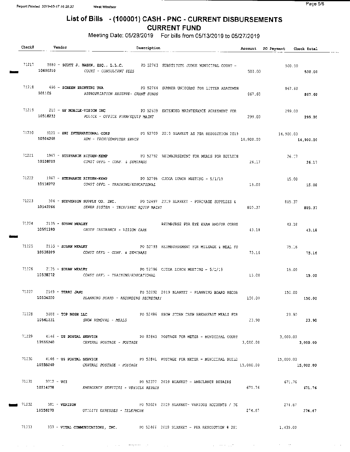$\mathcal{A}^{\mathcal{A}}$  , where  $\mathcal{A}^{\mathcal{A}}$  are  $\mathcal{A}^{\mathcal{A}}$  , where  $\mathcal{A}^{\mathcal{A}}$ 

and the state of the state of the state of the state of the state of the state of the state of the state of the

Page 5/6

# List of Bills - ( 100001) CASH - PNC - CURRENT DISBURSEMENTS

CURRENT FUND

- -

Meeting Date: 05/28/2019 For bills from 05/13/2019 to 05/27/2019

| Check# | Vendor                             | Description                                                                                                                        |                                              |           | Account PO Payment Check Total |           |
|--------|------------------------------------|------------------------------------------------------------------------------------------------------------------------------------|----------------------------------------------|-----------|--------------------------------|-----------|
|        |                                    | 71217 5880 - SCOTT J. BASEN, ESQ., L.L.C. 20 52763 SUBSTITUTE JUDGE MUNICIPAL COURT -<br>10650210 COURT - CONSULTANT FEES          |                                              | 500.00    | 500.00<br>500.00               |           |
|        |                                    | 71218 690 - SCREEN PRINTING USA 80 PO 52764 SUMMER UNIFORMS FOR LITTER ABATEMEN<br>101105 APPROPRIATION RESERVE- GRANT FUNDS       |                                              | 867.6C    | 867.60<br>867.50               |           |
|        |                                    | 71219 210 - SF MOBILE-VISION INC 2010 PO 52639 EXTENDED MAINTENANCE AGREEMENT FOR<br>10518233 POLICE - OFFICE FURN/EQUIP MAINT     |                                              | 299.00    | 299.00<br>299.00               |           |
|        |                                    | 71220 5121 - SHI INTERNATIONAL CORP 62709 2019 BLANKET AS PSR RESOLUTION 2019 14,900.00<br>10504268 MDM - TECH/COMPUTER SRVCS      |                                              | 14,900,00 |                                | 14,900.00 |
|        |                                    | 71221 1967 - STEPHANIE RITZEN-KEMP 6 PO 52792 REIMBJRSEMENT FOR MEALS FOR BUILDIN<br>10538209 CONST OFFL - CONF. & SEMINARS        |                                              | 26,17     | 26.17                          | 26.17     |
|        | 10538272                           | 71222 1967 - STEPHANIE RITZEN-KEMP 6 PO 52795 CJCOA LUNCH MEETING - 5/1/19<br>CONST OFFL - TRAINING/EDUCATIONAL                    |                                              | 15.00     | 15.00<br>15.00                 |           |
|        |                                    | 71223 304 - STEVENSON SUPPLY CO. INC. 80 52697 2019 BLANKET - PURCHASE SUPPLIES &<br>10542266 SEWER SYSTEM - TECH/SPEC EQUIP MAINT |                                              | 805.37    | 805.37 37                      | 805.37    |
|        | $71224$ $2135 -$ SUSAN MEALEY      | 10551280 GROUP INSURANCE - VISION CARE                                                                                             | REIMBURSE FOR EYE EXAM AND/OR CORRE          | 43.18     | 43.18<br>43.18                 |           |
|        | $71225$ 2135 - SUSAN MEALEY        | 10538209 CONST OFFL - CONF. & SEMINARS                                                                                             | PO 52793 REIMBURSEMENT FOR MILZAGE & MEAL FO | 75.16     | 75.16                          | 75.16     |
|        |                                    | 71226 2135 - SUSAN MEALEY 1999 1999 2003 2796 CJCOA LUNCH MEETING - 5/1/19<br>10538272 CONST OFFL - TRAINING/EDUCATIONAL           |                                              | 15.00     | 15.00                          | 15.00     |
|        |                                    | $71227$ 5549 - TERRI JAMY 6 62092 2019 BLANKET - PLANNING BOARD RECOR<br>10534250 PLANNING BOARD - RECORDING SECRETARY             |                                              | 150.00    | 150.00<br>150.00               |           |
|        | $71228$ 5088 - TOP NOSH LLC        | 10541231 SNOW REMOVAL - MEALS                                                                                                      | PO 52486 SNOW STORM CREW BREAKFAST MEALS FOR | 23.90     | 23.90                          | 23.90     |
|        |                                    | 71229 4146 - US POSTAL SERVICE 20 52840 POSTAGE FOR METER - MUNICIPAL COURT 3,000.00<br>$CENTRAL$ POSTAGE - POSTAGE - POSTAGE      |                                              | 3.CCC.00  |                                | 3,000.00  |
|        |                                    | 71230 4146 - US POSTAL SERVICE 15,000,00<br>10555240 CENTRAL POSTAGE - POSTAGE                                                     |                                              | 15,000.00 |                                | 15,000.00 |
|        | $71231$ $3712 - \text{VCI}$        | 10514278 EMERGENCY SERVICES - VEHICLE REPAIR                                                                                       | PO 52377 2019 BLANKET - AMBULANCE REPAIRS    | 671.76    | 671.76<br>671.76               |           |
|        | $\blacksquare$ 71232 381 - VERIZON | 10556270 UTILITY EXPENSES - TELEPHONE                                                                                              | PO 52024 2019 BLANKET- VARIOUS ACCOUNTS / TE | 274.67    | 274.67                         | 274,67    |
|        |                                    | 71233 333 - VITAL COMMUNICATIONS, INC. PO 52466 2019 BLANKET - PER RESCLUTION # 2018 11435.00                                      |                                              |           |                                |           |

 $\mathcal{L}^{\mathcal{L}}$  and the contraction of the set of the set of the set of the set of the  $\mathcal{L}^{\mathcal{L}}$ 

 $\sim 10^{11}$  km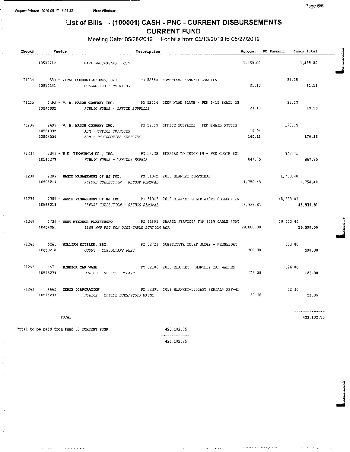وللفار وللوي

. . . . . . . .

q

je po stani za najveći po stani za najveći po stani za najveći po stani za najveći po stani za najveći po stani<br>Dogodki

والحاجيجة

## List of Bills - (100001) CASH - PNC - CURRENT DISBURSEMENTS CURRENT FUND

Meeting Date: 05/28/2019 For bills from 05/13/2019 to 05/27/2019

| Check# Vendor        |                                                                                                                | Description |                                                                                       |                 | Account PO Payment Check Total |                              |
|----------------------|----------------------------------------------------------------------------------------------------------------|-------------|---------------------------------------------------------------------------------------|-----------------|--------------------------------|------------------------------|
|                      | $DATA$ PROCESSING - $Q, E$ .                                                                                   |             |                                                                                       |                 | $1,435.00$ $1,435.00$          |                              |
|                      | 71234 333 - VITAL COMMUNICATIONS, INC. PO 52684 HOMESTEAD BENEFIT CREDITS<br>10510241 COLLECTION - PRINTING    |             |                                                                                       | <b>B1.15</b>    | 81.19                          | 81.18                        |
|                      | 10540332 PUBLIC WORKS - OFFICE SUPPLIES                                                                        |             | 71235 2495 - W. B. MASON COMPANY INC. 60 92714 DESK NAME PLATE - PER 4/15 EMAIL OU    | 23.10           | 23.10                          | 23.10                        |
| 10504332<br>10504334 | ADM - OFFICE SUPPLIES<br>ADM - PHOTOCOPIER SUPPLIES                                                            |             | 71236 2495 - W. B. MASON COMPANY INC. 20 52729 OFFICE SUPPLIES - PER SMAIL QUOTES     | 10.04<br>160.11 | 170.15                         | 170.15                       |
| 10540278             | PUBLIC WORKS - VEHICLE REPAIR                                                                                  |             | 71237 2048 - W.E. TIMMERMAN CO., INC. PO 52738 REPAIRS TO TRUCK #9 - PER QUOTE #01    | 847.75          | 347.75                         | 847.75                       |
| 10558219             | 71238 2308 - WASTE MANAGEMENT OF NJ INC. PO 51942 2019 BLANKET DUMPSTERS<br>REFUSE COLLECTION - REFUSE REMOVAL |             |                                                                                       | 1,750.48        | 1,750.48<br>1,750.48           |                              |
| 10558219             | REFUSE COLLECTION - REFUSE REMOVAL                                                                             |             | 71239 2308 - WASTE MANAGEMENT OF NJ INC. PO 51943 2019 BLANKET SOLID WASTE COLLECTION | 48.939.81       | 48,939.81<br>48.939.81         |                              |
| 10604251             | ILSA WWP REG SCH DIST-CABLE STATION MGR                                                                        |             | 71240 1730 - WEST WIRDSOR PLAINSBORO 6 PO 52801 SHARED SERVICES FOR 2019 CABLE STAT   | 29,000.00       | 29,000.00<br>29,000.00         |                              |
| 10650210             | COURT - CONSULTANT FEES                                                                                        |             | 71241 5561 - WILLIAM SITZLER, ESQ. 80 82721 SUBSTITUTE COURT JUDGE - WEDNESDAY        | 500.00          | 500.00<br>500.00               |                              |
| 10518278             | $71242$ 1471 - WINDSOR CAR WASH<br>POLICE - VEHICLE REPAIR                                                     |             | PO 52186 2019 BLANKET - MONTHLY CAR WASHES                                            | 126.00          | 126.00<br>126.00               |                              |
|                      | $71243$ $4662 -$ XEROX CORPORATION<br>10518233 POLICE - OFFICE FURN/EQUIP MAINT                                |             | PO 52395 2019 BLANKET-573SAPT SERIAL# XEE-43                                          | 52.36           | 52.36                          | 52.36                        |
|                      | TOTAL                                                                                                          |             |                                                                                       |                 |                                | ______________<br>423,102.75 |
|                      | Total to be paid from Fund 10 CURRENT FUND                                                                     |             | 423,102.75                                                                            |                 |                                |                              |

-------------423, 102. 75

المتمتع فقعقا مقعقا فقعا مناوران والمهاري

 $\sim 1000$  ,  $\sim 1000$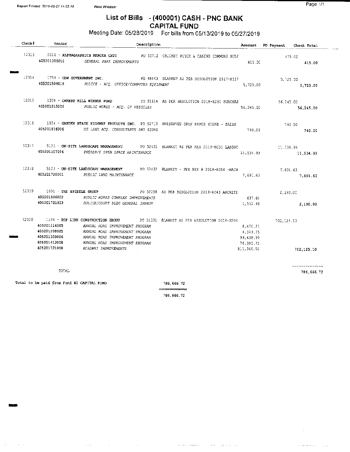$\Delta\Delta\phi$  and  $\Delta\phi$  and  $\Delta\phi$ 

## List of Bills - (400001) CASH - PNC BANK CAPITAL FUND

## Meeting Date: 05/28/2019 For bills from 05/13/2019 to 05/27/2019

| Check# | Vendor                                       | Description                                                                                                                   |                                              |                        | Account PO Payment Check Total |            |
|--------|----------------------------------------------|-------------------------------------------------------------------------------------------------------------------------------|----------------------------------------------|------------------------|--------------------------------|------------|
|        |                                              | 12313 2010 - ALPHAGRAPHICS MERCER CNTY FO 52712 CRICKET PITCH & CAMINS COMMONS RULE<br>405201309010 GENSRAL PARK IMPROVEMENTS |                                              | 415.00 L               |                                | 415.CC     |
|        |                                              |                                                                                                                               |                                              |                        |                                | 415.00     |
|        |                                              | 12314 1759 - CDW GOVERNMENT INC. PO 48443 BLANKET AS PER RESOLUTION 2017-R117                                                 |                                              |                        |                                | 5,725.00   |
|        |                                              | 405201506016 POLICE - ACQ. GFFICE/COMPUTER EQUIPMENT                                                                          |                                              | 5,725.00               |                                | 5,725.00   |
|        |                                              | 13315 1328 - CHERRY RILL WINNER FORD 20 51614 AS PER RESOLUTION 2018-R250 PURCHAS                                             |                                              |                        | 56,245.CC                      |            |
|        |                                              | 405201815026 PUBLIC WORKS - ACQ. OF VEHICLES                                                                                  |                                              | 56, 245, 00            |                                | 56,245.00  |
|        |                                              | 12316 1924 - GARDEN STATE HIGHWAY PRODUCTS INC. PO 52713 PRESERVED OPEN SPACE SIGNS - SALES                                   |                                              |                        |                                | 740.00     |
|        |                                              | 405201816006 OS DAND ACQ. CONSULTANTS AND SIGNS                                                                               |                                              | 740.00                 |                                | 740.00     |
|        |                                              | 12317 5123 - ON-SITE LANDSCAPE MANAGEMENT 20 52431 BLANKET AS PER RES 2013-R055 LANDSC                                        |                                              |                        | 11,534,99                      |            |
|        | 405201507004 PRESERVE OPEN SPACE MAINTENANCE |                                                                                                                               |                                              | 11,534.99              |                                | 11,534.99  |
|        |                                              | 12318 5123 - ON-SITE LANDSCAPE MANAGEMENT PO 52432 BLANKET - PER RES # 2019-R056 - MAIN                                       |                                              |                        | 7,691.63                       |            |
|        | 405201720001 PUBLIC LAND MAINTENANCE         |                                                                                                                               |                                              | 7,691.63               |                                | 7,691.63   |
|        | 12319 1891 - THE SPIEZLE GROUP               |                                                                                                                               | PO 52258 AS PER RESOLUTION 2019-RC43 ARCHITE |                        | 2,190.CC                       |            |
|        | 405201506022                                 | PUBLIC WORKS COMPLEX IMPROVEMENTS                                                                                             |                                              | 637.60                 |                                |            |
|        | 405201721023                                 | <i>POLICE/COURT BLDG GENERAL IMPROV</i>                                                                                       |                                              | 1,552.40               |                                | 2,190.00   |
|        |                                              | 12320 1194 - TOP LIME CONSTRUCTION GROUP PO 51331 BLANKET AS FER RESOLUTION 2018-R209 702,125.10                              |                                              |                        |                                |            |
|        | 405201114005                                 | ANNUAL ROAD IMPROVEMENT PROGRAM                                                                                               |                                              | 8,470.21               |                                |            |
|        | 405201208005<br>405201309006                 | ANNUAL ROAD IMPROVEMENT PROGRAM                                                                                               |                                              | 4,549.75               |                                |            |
|        | 405201413008                                 | ANNUAL ROAD IMPROVEMENT PROGRAM<br>ANNUAL ROAD IMPROVEMENT PROGRAM                                                            |                                              | 99,438.90<br>78,305.72 |                                |            |
|        | 405201721008                                 | <i>RCADWAY IMPROVEMENTS</i>                                                                                                   |                                              | 511,360.52             |                                | 702.125.10 |
|        |                                              |                                                                                                                               |                                              |                        |                                |            |
|        |                                              |                                                                                                                               |                                              |                        |                                |            |
|        | TOTAL                                        |                                                                                                                               |                                              |                        |                                | 786,666.72 |

Total to be paid from Fund 40 CAPITAL FUND 786, 666.72

786, 666. 72

المناوري ال<del>منت والمناور</del>ي المناوري المناوري المناور والمناوري المناوري المنتجم المناوري المناوري المناوري المناور

 $\mathcal{A}$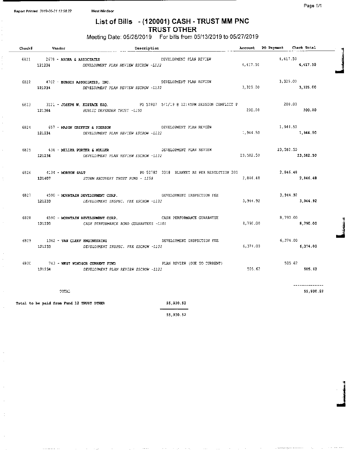¢

 $\overline{\phantom{a}}$ 

 $\begin{array}{cccccccccccccc} . & . & . & . & . & . & . & . & . & . \end{array}$ 

## List of Bills - ( 120001) CASH - TRUST MM PNC TRUST OTHER

Meeting Date: 05/28/2019 For bills from 05/13/2019 to 05/27/2019

| $Check$ # $Vandor$                               | $---$ Description                                                                                                        |                              |          | Account PO Payment Check Total |                      |
|--------------------------------------------------|--------------------------------------------------------------------------------------------------------------------------|------------------------------|----------|--------------------------------|----------------------|
| 6821 2679 - ARORA & ASSOCIATES<br>121234         | DEVELOPMENT PLAN REVIEW ESCROW -L122                                                                                     | DEVELOPMENT PLAN REVIEW      | 4,417.50 | 4.417.50                       | 4,417.50             |
|                                                  | 6822 4702 - BURGIS ASSOCIATES, INC. THE REVIEW ORVELOPMENT PLAN REVIEW<br>121234 DEVELOPMENT PLAN REVIEW ESCROW -L122    |                              | 3,325.00 | 3,325.00                       | 3,325.00             |
|                                                  | 6823 3121 - JOSEPH W. EUSTACE ESQ. 30 90 92807 5/1/19 @ 12:45PM SESSION CONFLICT P<br>121364 PUBLIC DEFENDER TRUST -L150 |                              | 200.00   | 200.00                         | 200.00               |
| 6824 657 - MASON GRIFFIN & PIERSON               | 121234 DEVELOPMENT PLAN REVIEW ESCROW -L122                                                                              | DEVELOPMENT PLAN REVIEW      | 1,944.50 | 1,944.50                       | 1,944.50             |
| 6825 436 - MILLER PORTER & MULLER                | 121234 DEVELOPMENT PLAN REVIEW ESCROW -1122                                                                              | DEVELOPMENT PLAN REVIEW      |          | 23,582.50 23,582.50            | 23,582.50            |
|                                                  | 121407 STORM RECOVERY TRUST FUND - L158                                                                                  |                              | 2,846.48 |                                | 2,846.48<br>2,846.48 |
|                                                  | 121233 DEVELOPMENT INSPEC. FEE ESCROW -L102                                                                              |                              | 3,944.92 |                                | 3,944.92<br>3,944.92 |
| 6828 4590 - MOUNTAIN DEVELOPMENT CORP.<br>121220 | CASH PERFORMANCE BOND GUARANTEES -LIOI                                                                                   | CASH PERFORMANCE GUARANTEE   | 8,790.00 |                                | 8,790.00<br>8,790.00 |
| 6829 1362 - VAN CLEEP ENGINEERING<br>121233      | DEVELOPMENT INSPEC. FEE ESCROW -L102                                                                                     | DEVELOPMENT INSPECTION FEE   | 6,374.00 |                                | 6,374.00<br>6,374.00 |
| 6830 743 - WEST WINDSOR CURRENT FUND             | 121234 DEVELOPMENT PLAN REVIEW ESCROW -L122                                                                              | PLAN REVIEW (OUE TO CURRENT) | 505, 62  |                                | 505.62<br>505.62     |
| TOTAL                                            |                                                                                                                          |                              |          |                                | .<br>55,930.52       |
| Total to be paid from Fund 12 TRUST OTHER        |                                                                                                                          | 55,930.52<br>$\equiv$        |          |                                |                      |

55, 930. 52

j<br>Januari Santa Santa Santa Santa Santa Santa Santa Santa Santa Santa Santa Santa Santa Santa Santa Santa Santa<br>1990 - Partis Santa Santa Santa Santa Santa Santa Santa Santa Santa Santa Santa Santa Santa Santa Santa Santa

 $\hat{f}$  , where  $\hat{f}$  is a function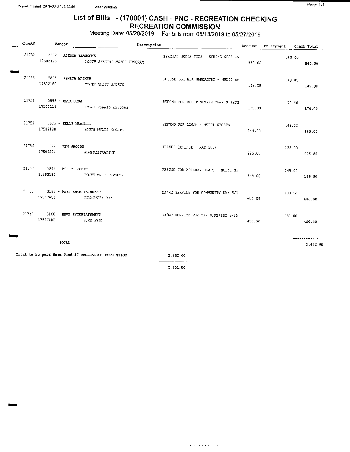## List of Bills - (170001) CASH - PNC - RECREATION CHECKING RECREATION COMMISSION

Meeting Date: 05/28/2019 For bills from 05/13/2019 to 05/27/2019

| Check# | Vendor                                                    | Description                                         |                                     |        | Account PO Payment Check Total |                                       |
|--------|-----------------------------------------------------------|-----------------------------------------------------|-------------------------------------|--------|--------------------------------|---------------------------------------|
|        | 21752 2672 - ALISON BRANCONE<br>17502125                  | YOUTH SPECIAL NEEDS PROGRAM                         | SPECIAL NEEDS YOGA - SPRING SESSION | 560.00 | 560.00                         | 560.00                                |
|        | 21753 5895 - ASHITA MATHUR<br>17502180                    | YOUTH MULTI SPORTS                                  | REFUND FOR ELA NANDAGIRI - MULTI SP | 149.00 | 149,00                         | 149.00                                |
|        | $21754$ 5895 - ESTA DESA                                  | 17503114 ADULT TENNIS LESSONS                       | REFUND FOR ADULT SUMMER TENNIS PROG | 170.00 | 170.00                         | 170.00                                |
|        | 21755 5605 - KELLY MARTELL<br>17502180                    | YOUTH MULTI SPORTS                                  | REFUND FOR LOGAN - MULTI SPORTS     | 149.00 | 149.OC                         | 149.00                                |
|        | 21756 972 - KEN JACOBS<br>17506301 ADMINISTRATIVE         |                                                     | TRAVEL EXPENSE - MAY 2019           | 225.00 | 225.00                         | 225.00                                |
|        | 21757 5894 - КSHITI JOSHI                                 | 17502180 YOUTH MULTI SPORTS                         | REFUND FOR KRISHAV BHATT - MULTI SP | 149.00 | 149.CC                         | 149.00                                |
|        | 21758 3168 - RSVP ENTERTAINMENT<br>17507415 COMMUNITY DAY |                                                     | CJ/MC SERVICE FOR COMMUNITY DAY 5/1 | 600.00 | 600.00                         | 600.00                                |
|        | $21759$ $3168$ - RSVP ENTERTAINMENT<br>17507402 aiks FEST |                                                     | DJ/MC SERVICE FOR THE BIKEFEST 5/25 | 450.00 | 450.00                         | 450.00                                |
|        | TOTAL                                                     |                                                     |                                     |        |                                | $- - - - - - - - - - - -$<br>2,452.00 |
|        |                                                           | Total to be paid from Fund 17 RECREATION COMMISSION | 2.452.00                            |        |                                |                                       |

2, 452. 00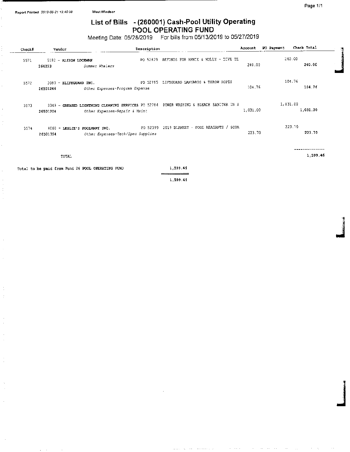## List of Bills -( 260001) Cash-Pool Utility Operating POOL OPERATING FUND

Meeting Date: 05/28/2019 For bills from 05/13/2019 to 05/27/2019

| Check# | Vendor                                    | Description                                                                          |                                     | Account  | PO Payment | Check Total | ा |
|--------|-------------------------------------------|--------------------------------------------------------------------------------------|-------------------------------------|----------|------------|-------------|---|
| 5571   | 5182 - ALISON LOCKMAN<br>264223           | PO 52829<br>Summer Whalers                                                           | REFUNDS FOR ANNIE & MOLLY - DIVE TE | 240.00   | 240.00     | 240.00      |   |
| 5572   | 3083 - ELIFEGUARD INC.<br>26501246        | PO 52785<br>Other Expenses-Program Expense                                           | LIFEGUARD LANYARSS & THROW ROPES    | 104,76   | 104.76     | 104.76      |   |
| 5573   | 26501204                                  | 3349 - GREASED LIGHTNING CLEANING SERVICES PC 52784<br>Other Expenses-Repair & Maint | POWER WASHING & BLEACH SANITER IN S | 1,031.00 | 1,031.00   | 1,031.00    |   |
| 5574   | 4060 - LESLIE'S POOLMART INC.<br>26501354 | PO 52399<br>Other Expenses-Tech/Spec Supplies                                        | 2019 BLANKET - POOL REAGANTS / SCDA | 223.70   | 223.70     | 223.70      |   |
|        | TOTAL                                     |                                                                                      |                                     |          |            | 1,599.46    |   |

Total to be paid from Fund 26 POOL OPERATING FUND  $1,599.46$ 

 $\hat{\mathbf{r}}$ 

 $\ddot{\cdot}$ 

1, 599. 46

je po predstavlja u predstavlja u predstavlja u predstavlja u predstavlja u predstavlja u predstavlja u predst<br>Događaji

j<br>Janeiro (1990)<br>Janeiro (1990)

and a control

الوالي فتعتبدته المعتادي المتفقف

**Contract Contract**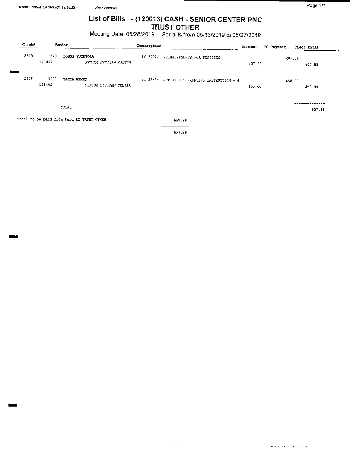$\mathcal{A}(\mathbf{r})$  . The matrix  $\mathcal{A}(\mathbf{r})$  is a subset of  $\mathcal{A}(\mathbf{r})$ 

# List of Bills - ( 120013) CASH - SENIOR CENTER PNC

TRUST OTHER

Meeting Date: 05/28/2019 For bills from 05/13/2019 to 05/27/2019

| Check# | Vendor                                    |                       | Description |                                              | Account | PO Payment | Check Total      |
|--------|-------------------------------------------|-----------------------|-------------|----------------------------------------------|---------|------------|------------------|
| 2915   | 1820 - DONNA FUCETOLA<br>121402           | SENIOR CITIZEN CENTER |             | PO 52824 REIMBUSEMENTS FOR SUPPLIES          | 207.86  |            | 207.88<br>207.88 |
| 2916   | 5628<br>- ZAKIA AHMED<br>121402           | SENIOR CITIZEN CENTER |             | PO 52699 ART OF OIL PAINTING INSTRUCTION - 4 | 450.00  |            | 450.00<br>450.00 |
|        | TOTAL                                     |                       |             |                                              |         |            | 657.88           |
|        | Total to be paid from Fund 12 TRUST OTHER |                       |             | 657.88                                       |         |            |                  |
|        |                                           |                       |             | 657.88                                       |         |            |                  |

 $\sim$ 

 $\mathcal{A} \bullet \mathcal{A} \bullet \mathcal{A}$  , where  $\mathcal{A} \bullet \mathcal{A}$  is a subset of  $\mathcal{A} \bullet \mathcal{A}$ 

 $\alpha$  , and the second contribution of